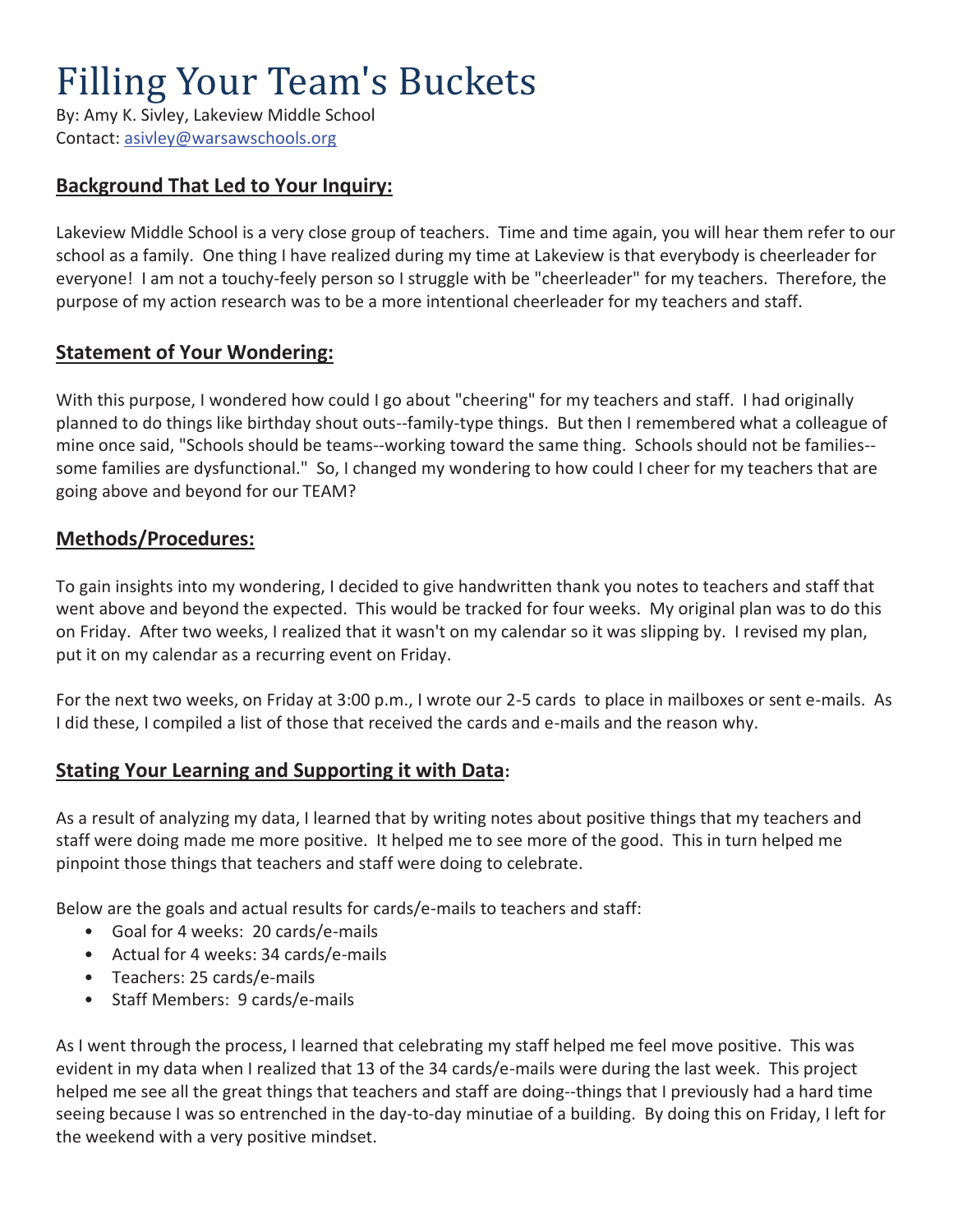# Filling Your Team's Buckets

By: Amy K. Sivley, Lakeview Middle School Contact: asivley@warsawschools.org

## **Background That Led to Your Inquiry:**

Lakeview Middle School is a very close group of teachers. Time and time again, you will hear them refer to our school as a family. One thing I have realized during my time at Lakeview is that everybody is cheerleader for everyone! I am not a touchy-feely person so I struggle with be "cheerleader" for my teachers. Therefore, the purpose of my action research was to be a more intentional cheerleader for my teachers and staff.

## **Statement of Your Wondering:**

With this purpose, I wondered how could I go about "cheering" for my teachers and staff. I had originally planned to do things like birthday shout outs--family-type things. But then I remembered what a colleague of mine once said, "Schools should be teams--working toward the same thing. Schools should not be families- some families are dysfunctional." So, I changed my wondering to how could I cheer for my teachers that are going above and beyond for our TEAM?

#### **Methods/Procedures:**

To gain insights into my wondering, I decided to give handwritten thank you notes to teachers and staff that went above and beyond the expected. This would be tracked for four weeks. My original plan was to do this on Friday. After two weeks, I realized that it wasn't on my calendar so it was slipping by. I revised my plan, put it on my calendar as a recurring event on Friday.

For the next two weeks, on Friday at 3:00 p.m., I wrote our 2-5 cards to place in mailboxes or sent e-mails. As I did these, I compiled a list of those that received the cards and e-mails and the reason why.

## **Stating Your Learning and Supporting it with Data:**

As a result of analyzing my data, I learned that by writing notes about positive things that my teachers and staff were doing made me more positive. It helped me to see more of the good. This in turn helped me pinpoint those things that teachers and staff were doing to celebrate.

Below are the goals and actual results for cards/e-mails to teachers and staff:

- Goal for 4 weeks: 20 cards/e-mails
- Actual for 4 weeks: 34 cards/e-mails
- Teachers: 25 cards/e-mails
- Staff Members: 9 cards/e-mails

As I went through the process, I learned that celebrating my staff helped me feel move positive. This was evident in my data when I realized that 13 of the 34 cards/e-mails were during the last week. This project helped me see all the great things that teachers and staff are doing--things that I previously had a hard time seeing because I was so entrenched in the day-to-day minutiae of a building. By doing this on Friday, I left for the weekend with a very positive mindset.